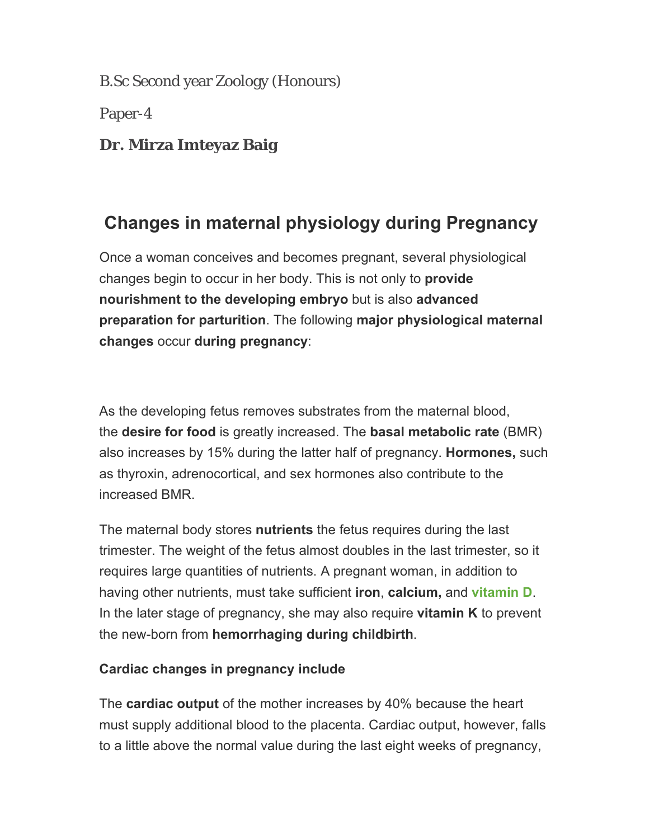B.Sc Second year Zoology (Honours)

Paper-4

## **Dr. Mirza Imteyaz Baig**

# **Changes in maternal physiology during Pregnancy**

Once a woman conceives and becomes pregnant, several physiological changes begin to occur in her body. This is not only to **provide nourishment to the developing embryo** but is also **advanced preparation for parturition**. The following **major physiological maternal changes** occur **during pregnancy**:

As the developing fetus removes substrates from the maternal blood, the **desire for food** is greatly increased. The **basal metabolic rate** (BMR) also increases by 15% during the latter half of pregnancy. **Hormones,** such as thyroxin, adrenocortical, and sex hormones also contribute to the increased BMR.

The maternal body stores **nutrients** the fetus requires during the last trimester. The weight of the fetus almost doubles in the last trimester, so it requires large quantities of nutrients. A pregnant woman, in addition to having other nutrients, must take sufficient **iron**, **calcium,** and **vitamin D**. In the later stage of pregnancy, she may also require **vitamin K** to prevent the new-born from **hemorrhaging during childbirth**.

### **Cardiac changes in pregnancy include**

The **cardiac output** of the mother increases by 40% because the heart must supply additional blood to the placenta. Cardiac output, however, falls to a little above the normal value during the last eight weeks of pregnancy,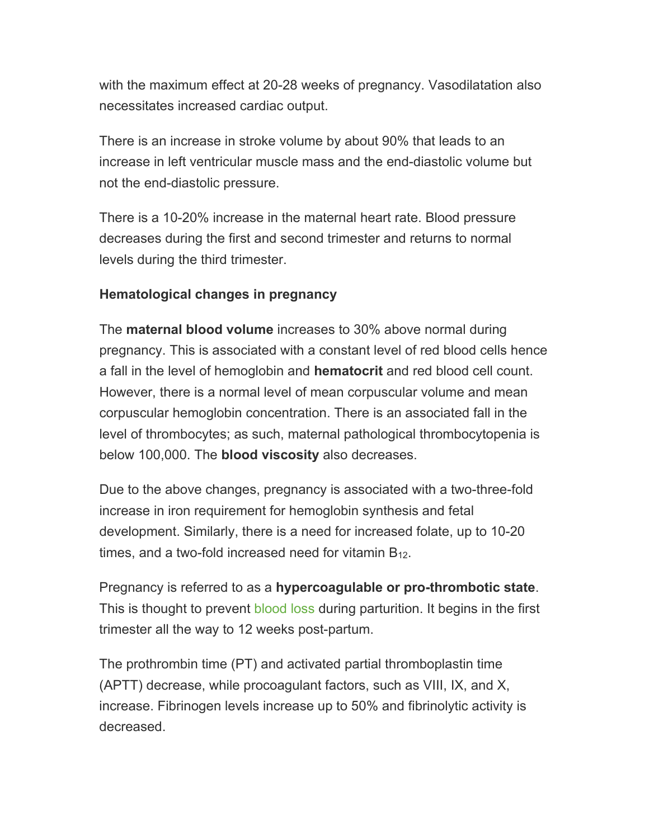with the maximum effect at 20-28 weeks of pregnancy. Vasodilatation also necessitates increased cardiac output.

There is an increase in stroke volume by about 90% that leads to an increase in left ventricular muscle mass and the end-diastolic volume but not the end-diastolic pressure.

There is a 10-20% increase in the maternal heart rate. Blood pressure decreases during the first and second trimester and returns to normal levels during the third trimester.

#### **Hematological changes in pregnancy**

The **maternal blood volume** increases to 30% above normal during pregnancy. This is associated with a constant level of red blood cells hence a fall in the level of hemoglobin and **hematocrit** and red blood cell count. However, there is a normal level of mean corpuscular volume and mean corpuscular hemoglobin concentration. There is an associated fall in the level of thrombocytes; as such, maternal pathological thrombocytopenia is below 100,000. The **blood viscosity** also decreases.

Due to the above changes, pregnancy is associated with a two-three-fold increase in iron requirement for hemoglobin synthesis and fetal development. Similarly, there is a need for increased folate, up to 10-20 times, and a two-fold increased need for vitamin  $B_{12}$ .

Pregnancy is referred to as a **hypercoagulable or pro-thrombotic state**. This is thought to prevent blood loss during parturition. It begins in the first trimester all the way to 12 weeks post-partum.

The prothrombin time (PT) and activated partial thromboplastin time (APTT) decrease, while procoagulant factors, such as VIII, IX, and X, increase. Fibrinogen levels increase up to 50% and fibrinolytic activity is decreased.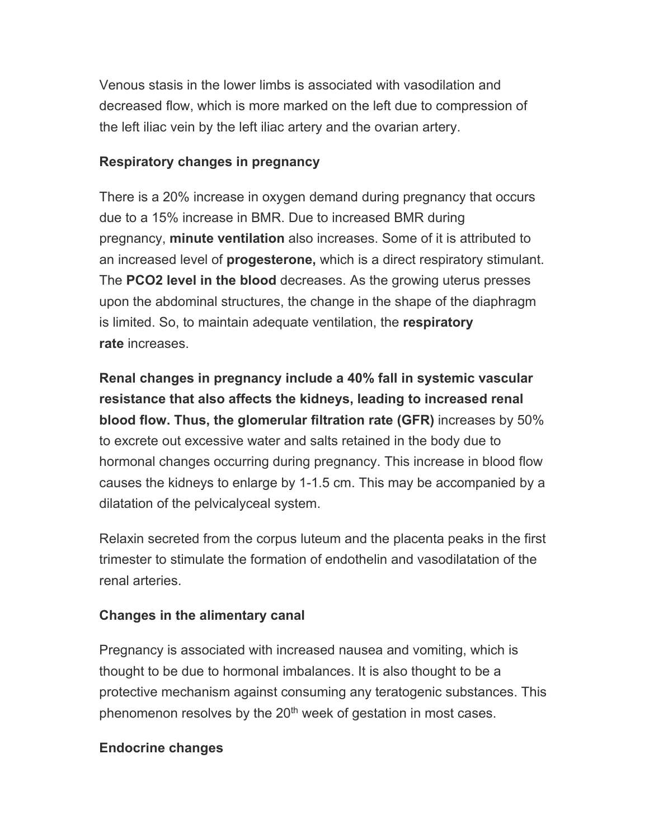Venous stasis in the lower limbs is associated with vasodilation and decreased flow, which is more marked on the left due to compression of the left iliac vein by the left iliac artery and the ovarian artery.

#### **Respiratory changes in pregnancy**

There is a 20% increase in oxygen demand during pregnancy that occurs due to a 15% increase in BMR. Due to increased BMR during pregnancy, **minute ventilation** also increases. Some of it is attributed to an increased level of **progesterone,** which is a direct respiratory stimulant. The **PCO2 level in the blood** decreases. As the growing uterus presses upon the abdominal structures, the change in the shape of the diaphragm is limited. So, to maintain adequate ventilation, the **respiratory rate** increases.

**Renal changes in pregnancy include a 40% fall in systemic vascular resistance that also affects the kidneys, leading to increased renal blood flow. Thus, the glomerular filtration rate (GFR)** increases by 50% to excrete out excessive water and salts retained in the body due to hormonal changes occurring during pregnancy. This increase in blood flow causes the kidneys to enlarge by 1-1.5 cm. This may be accompanied by a dilatation of the pelvicalyceal system.

Relaxin secreted from the corpus luteum and the placenta peaks in the first trimester to stimulate the formation of endothelin and vasodilatation of the renal arteries.

#### **Changes in the alimentary canal**

Pregnancy is associated with increased nausea and vomiting, which is thought to be due to hormonal imbalances. It is also thought to be a protective mechanism against consuming any teratogenic substances. This phenomenon resolves by the  $20<sup>th</sup>$  week of gestation in most cases.

#### **Endocrine changes**